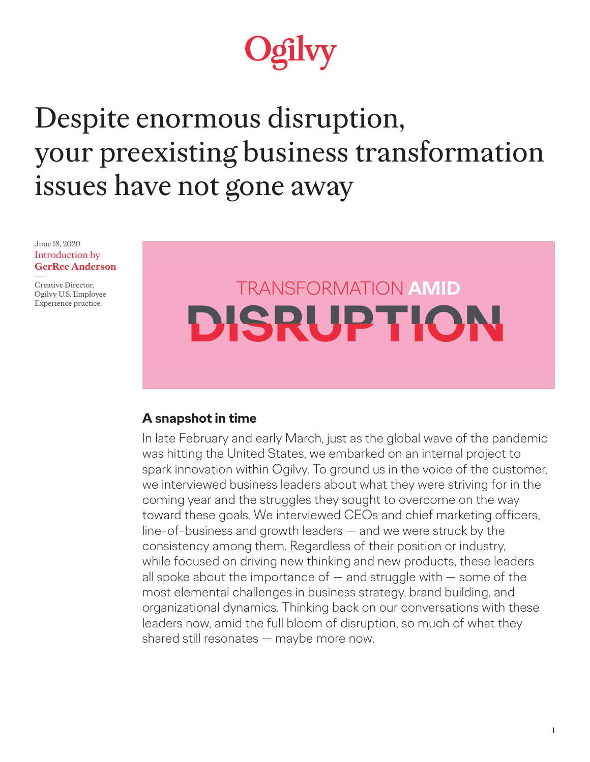# gilvy

## Despite enormous disruption, your preexisting business transformation issues have not gone away

June 18, 2020 Introduction by **GerRee Anderson**

Creative Director, Ogilvy U.S. Employee Experience practice

## TRANSFORMATION **AMID DISRUPTION, DISRUPTION**

## **A snapshot in time**

In late February and early March, just as the global wave of the pandemic was hitting the United States, we embarked on an internal project to spark innovation within Ogilvy. To ground us in the voice of the customer, we interviewed business leaders about what they were striving for in the coming year and the struggles they sought to overcome on the way toward these goals. We interviewed CEOs and chief marketing officers, line-of-business and growth leaders — and we were struck by the consistency among them. Regardless of their position or industry, while focused on driving new thinking and new products, these leaders all spoke about the importance of  $-$  and struggle with  $-$  some of the most elemental challenges in business strategy, brand building, and organizational dynamics. Thinking back on our conversations with these leaders now, amid the full bloom of disruption, so much of what they shared still resonates — maybe more now.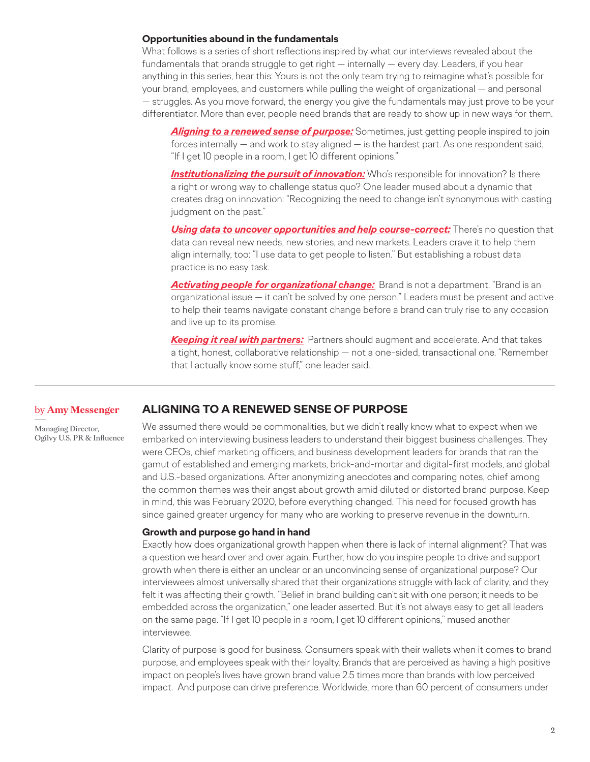#### **Opportunities abound in the fundamentals**

What follows is a series of short reflections inspired by what our interviews revealed about the fundamentals that brands struggle to get right — internally — every day. Leaders, if you hear anything in this series, hear this: Yours is not the only team trying to reimagine what's possible for your brand, employees, and customers while pulling the weight of organizational — and personal — struggles. As you move forward, the energy you give the fundamentals may just prove to be your differentiator. More than ever, people need brands that are ready to show up in new ways for them.

*Aligning to a renewed sense of purpose:* Sometimes, just getting people inspired to join forces internally — and work to stay aligned — is the hardest part. As one respondent said, "If I get 10 people in a room, I get 10 different opinions."

**[Institutionalizing the pursuit of innovation:](#page-2-0)** Who's responsible for innovation? Is there a right or wrong way to challenge status quo? One leader mused about a dynamic that creates drag on innovation: "Recognizing the need to change isn't synonymous with casting judgment on the past."

**[Using data to uncover opportunities and help course-correct:](#page-3-0)** There's no question that data can reveal new needs, new stories, and new markets. Leaders crave it to help them align internally, too: "I use data to get people to listen." But establishing a robust data practice is no easy task.

*[Activating people for organizational change:](#page-4-0)* Brand is not a department. "Brand is an organizational issue — it can't be solved by one person." Leaders must be present and active to help their teams navigate constant change before a brand can truly rise to any occasion and live up to its promise.

*[Keeping it real with partners:](#page-6-0)* Partners should augment and accelerate. And that takes a tight, honest, collaborative relationship — not a one-sided, transactional one. "Remember that I actually know some stuff," one leader said.

#### **ALIGNING TO A RENEWED SENSE OF PURPOSE** by **Amy Messenger**

Managing Director, Ogilvy U.S. PR & Influence We assumed there would be commonalities, but we didn't really know what to expect when we embarked on interviewing business leaders to understand their biggest business challenges. They were CEOs, chief marketing officers, and business development leaders for brands that ran the gamut of established and emerging markets, brick-and-mortar and digital-first models, and global and U.S.-based organizations. After anonymizing anecdotes and comparing notes, chief among the common themes was their angst about growth amid diluted or distorted brand purpose. Keep in mind, this was February 2020, before everything changed. This need for focused growth has since gained greater urgency for many who are working to preserve revenue in the downturn.

#### **Growth and purpose go hand in hand**

Exactly how does organizational growth happen when there is lack of internal alignment? That was a question we heard over and over again. Further, how do you inspire people to drive and support growth when there is either an unclear or an unconvincing sense of organizational purpose? Our interviewees almost universally shared that their organizations struggle with lack of clarity, and they felt it was affecting their growth. "Belief in brand building can't sit with one person; it needs to be embedded across the organization," one leader asserted. But it's not always easy to get all leaders on the same page. "If I get 10 people in a room, I get 10 different opinions," mused another interviewee.

Clarity of purpose is good for business. Consumers speak with their wallets when it comes to brand purpose, and employees speak with their loyalty. Brands that are perceived as having a high positive impact on people's lives have grown brand value 2.5 times more than brands with low perceived impact. And purpose can drive preference. Worldwide, more than 60 percent of consumers under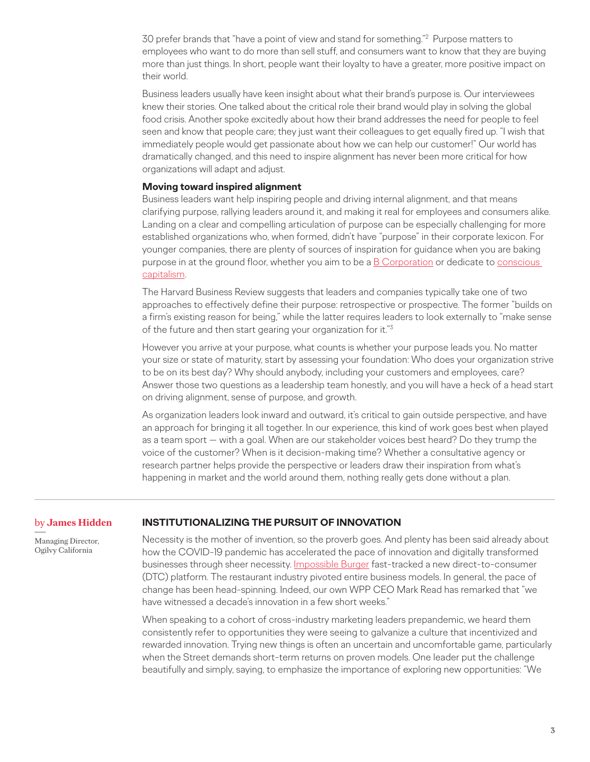<span id="page-2-0"></span>30 prefer brands that "have a point of view and stand for something."2 Purpose matters to employees who want to do more than sell stuff, and consumers want to know that they are buying more than just things. In short, people want their loyalty to have a greater, more positive impact on their world.

Business leaders usually have keen insight about what their brand's purpose is. Our interviewees knew their stories. One talked about the critical role their brand would play in solving the global food crisis. Another spoke excitedly about how their brand addresses the need for people to feel seen and know that people care; they just want their colleagues to get equally fired up. "I wish that immediately people would get passionate about how we can help our customer!" Our world has dramatically changed, and this need to inspire alignment has never been more critical for how organizations will adapt and adjust.

#### **Moving toward inspired alignment**

Business leaders want help inspiring people and driving internal alignment, and that means clarifying purpose, rallying leaders around it, and making it real for employees and consumers alike. Landing on a clear and compelling articulation of purpose can be especially challenging for more established organizations who, when formed, didn't have "purpose" in their corporate lexicon. For younger companies, there are plenty of sources of inspiration for guidance when you are baking purpose in at the ground floor, whether you aim to be a  $\underline{B}$  Corporation or dedicate to conscious [capitalism.](https://www.consciouscapitalism.org/)

The Harvard Business Review suggests that leaders and companies typically take one of two approaches to effectively define their purpose: retrospective or prospective. The former "builds on a firm's existing reason for being," while the latter requires leaders to look externally to "make sense of the future and then start gearing your organization for it."3

However you arrive at your purpose, what counts is whether your purpose leads you. No matter your size or state of maturity, start by assessing your foundation: Who does your organization strive to be on its best day? Why should anybody, including your customers and employees, care? Answer those two questions as a leadership team honestly, and you will have a heck of a head start on driving alignment, sense of purpose, and growth.

As organization leaders look inward and outward, it's critical to gain outside perspective, and have an approach for bringing it all together. In our experience, this kind of work goes best when played as a team sport — with a goal. When are our stakeholder voices best heard? Do they trump the voice of the customer? When is it decision-making time? Whether a consultative agency or research partner helps provide the perspective or leaders draw their inspiration from what's happening in market and the world around them, nothing really gets done without a plan.

#### by **James Hidden**

Managing Director, Ogilvy California

#### **INSTITUTIONALIZING THE PURSUIT OF INNOVATION**

Necessity is the mother of invention, so the proverb goes. And plenty has been said already about how the COVID-19 pandemic has accelerated the pace of innovation and digitally transformed businesses through sheer necessity. [Impossible Burger](https://consumergoods.com/impossible-foods-fast-track-dtc-already-exceeding-bullish-expectations) fast-tracked a new direct-to-consumer (DTC) platform. The restaurant industry pivoted entire business models. In general, the pace of change has been head-spinning. Indeed, our own WPP CEO Mark Read has remarked that "we have witnessed a decade's innovation in a few short weeks."

When speaking to a cohort of cross-industry marketing leaders prepandemic, we heard them consistently refer to opportunities they were seeing to galvanize a culture that incentivized and rewarded innovation. Trying new things is often an uncertain and uncomfortable game, particularly when the Street demands short-term returns on proven models. One leader put the challenge beautifully and simply, saying, to emphasize the importance of exploring new opportunities: "We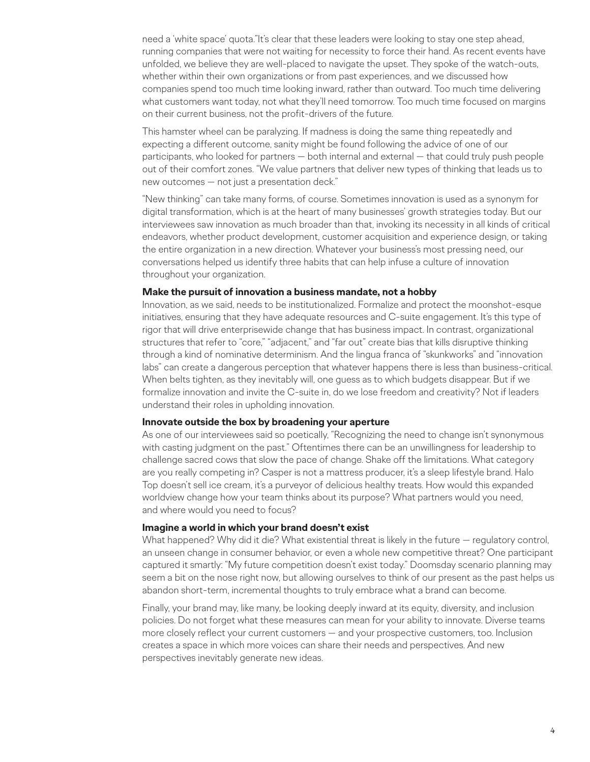<span id="page-3-0"></span>need a 'white space' quota."It's clear that these leaders were looking to stay one step ahead, running companies that were not waiting for necessity to force their hand. As recent events have unfolded, we believe they are well-placed to navigate the upset. They spoke of the watch-outs, whether within their own organizations or from past experiences, and we discussed how companies spend too much time looking inward, rather than outward. Too much time delivering what customers want today, not what they'll need tomorrow. Too much time focused on margins on their current business, not the profit-drivers of the future.

This hamster wheel can be paralyzing. If madness is doing the same thing repeatedly and expecting a different outcome, sanity might be found following the advice of one of our participants, who looked for partners — both internal and external — that could truly push people out of their comfort zones. "We value partners that deliver new types of thinking that leads us to new outcomes — not just a presentation deck."

"New thinking" can take many forms, of course. Sometimes innovation is used as a synonym for digital transformation, which is at the heart of many businesses' growth strategies today. But our interviewees saw innovation as much broader than that, invoking its necessity in all kinds of critical endeavors, whether product development, customer acquisition and experience design, or taking the entire organization in a new direction. Whatever your business's most pressing need, our conversations helped us identify three habits that can help infuse a culture of innovation throughout your organization.

#### **Make the pursuit of innovation a business mandate, not a hobby**

Innovation, as we said, needs to be institutionalized. Formalize and protect the moonshot-esque initiatives, ensuring that they have adequate resources and C-suite engagement. It's this type of rigor that will drive enterprisewide change that has business impact. In contrast, organizational structures that refer to "core," "adjacent," and "far out" create bias that kills disruptive thinking through a kind of nominative determinism. And the lingua franca of "skunkworks" and "innovation labs" can create a dangerous perception that whatever happens there is less than business-critical. When belts tighten, as they inevitably will, one guess as to which budgets disappear. But if we formalize innovation and invite the C-suite in, do we lose freedom and creativity? Not if leaders understand their roles in upholding innovation.

#### **Innovate outside the box by broadening your aperture**

As one of our interviewees said so poetically, "Recognizing the need to change isn't synonymous with casting judgment on the past." Oftentimes there can be an unwillingness for leadership to challenge sacred cows that slow the pace of change. Shake off the limitations. What category are you really competing in? Casper is not a mattress producer, it's a sleep lifestyle brand. Halo Top doesn't sell ice cream, it's a purveyor of delicious healthy treats. How would this expanded worldview change how your team thinks about its purpose? What partners would you need, and where would you need to focus?

#### **Imagine a world in which your brand doesn't exist**

What happened? Why did it die? What existential threat is likely in the future — regulatory control, an unseen change in consumer behavior, or even a whole new competitive threat? One participant captured it smartly: "My future competition doesn't exist today." Doomsday scenario planning may seem a bit on the nose right now, but allowing ourselves to think of our present as the past helps us abandon short-term, incremental thoughts to truly embrace what a brand can become.

Finally, your brand may, like many, be looking deeply inward at its equity, diversity, and inclusion policies. Do not forget what these measures can mean for your ability to innovate. Diverse teams more closely reflect your current customers — and your prospective customers, too. Inclusion creates a space in which more voices can share their needs and perspectives. And new perspectives inevitably generate new ideas.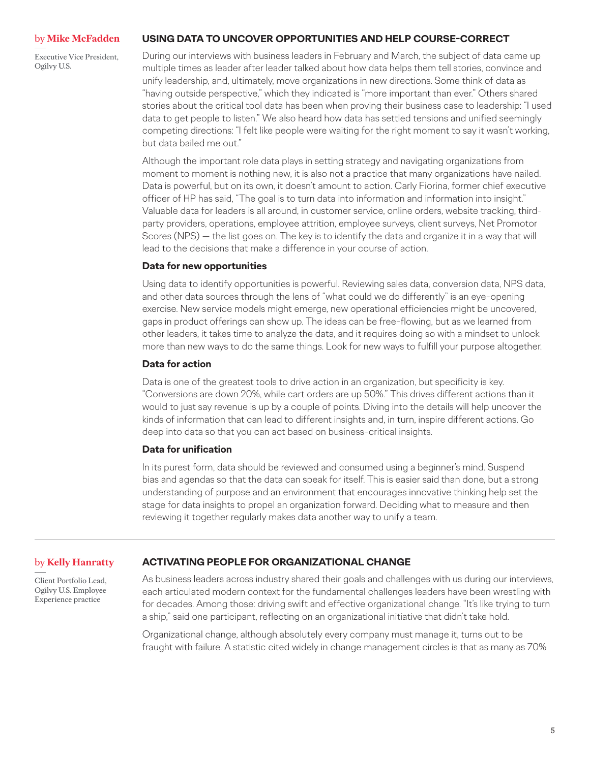#### <span id="page-4-0"></span>by **Mike McFadden**

Executive Vice President, Ogilvy U.S.

#### **USING DATA TO UNCOVER OPPORTUNITIES AND HELP COURSE-CORRECT**

During our interviews with business leaders in February and March, the subject of data came up multiple times as leader after leader talked about how data helps them tell stories, convince and unify leadership, and, ultimately, move organizations in new directions. Some think of data as "having outside perspective," which they indicated is "more important than ever." Others shared stories about the critical tool data has been when proving their business case to leadership: "I used data to get people to listen." We also heard how data has settled tensions and unified seemingly competing directions: "I felt like people were waiting for the right moment to say it wasn't working, but data bailed me out."

Although the important role data plays in setting strategy and navigating organizations from moment to moment is nothing new, it is also not a practice that many organizations have nailed. Data is powerful, but on its own, it doesn't amount to action. Carly Fiorina, former chief executive officer of HP has said, "The goal is to turn data into information and information into insight." Valuable data for leaders is all around, in customer service, online orders, website tracking, thirdparty providers, operations, employee attrition, employee surveys, client surveys, Net Promotor Scores (NPS) — the list goes on. The key is to identify the data and organize it in a way that will lead to the decisions that make a difference in your course of action.

#### **Data for new opportunities**

Using data to identify opportunities is powerful. Reviewing sales data, conversion data, NPS data, and other data sources through the lens of "what could we do differently" is an eye-opening exercise. New service models might emerge, new operational efficiencies might be uncovered, gaps in product offerings can show up. The ideas can be free-flowing, but as we learned from other leaders, it takes time to analyze the data, and it requires doing so with a mindset to unlock more than new ways to do the same things. Look for new ways to fulfill your purpose altogether.

#### **Data for action**

Data is one of the greatest tools to drive action in an organization, but specificity is key. "Conversions are down 20%, while cart orders are up 50%." This drives different actions than it would to just say revenue is up by a couple of points. Diving into the details will help uncover the kinds of information that can lead to different insights and, in turn, inspire different actions. Go deep into data so that you can act based on business-critical insights.

#### **Data for unification**

In its purest form, data should be reviewed and consumed using a beginner's mind. Suspend bias and agendas so that the data can speak for itself. This is easier said than done, but a strong understanding of purpose and an environment that encourages innovative thinking help set the stage for data insights to propel an organization forward. Deciding what to measure and then reviewing it together regularly makes data another way to unify a team.

#### **ACTIVATING PEOPLE FOR ORGANIZATIONAL CHANGE** by **Kelly Hanratty**

Client Portfolio Lead, Ogilvy U.S. Employee Experience practice

As business leaders across industry shared their goals and challenges with us during our interviews, each articulated modern context for the fundamental challenges leaders have been wrestling with for decades. Among those: driving swift and effective organizational change. "It's like trying to turn a ship," said one participant, reflecting on an organizational initiative that didn't take hold.

Organizational change, although absolutely every company must manage it, turns out to be fraught with failure. A statistic cited widely in change management circles is that as many as 70%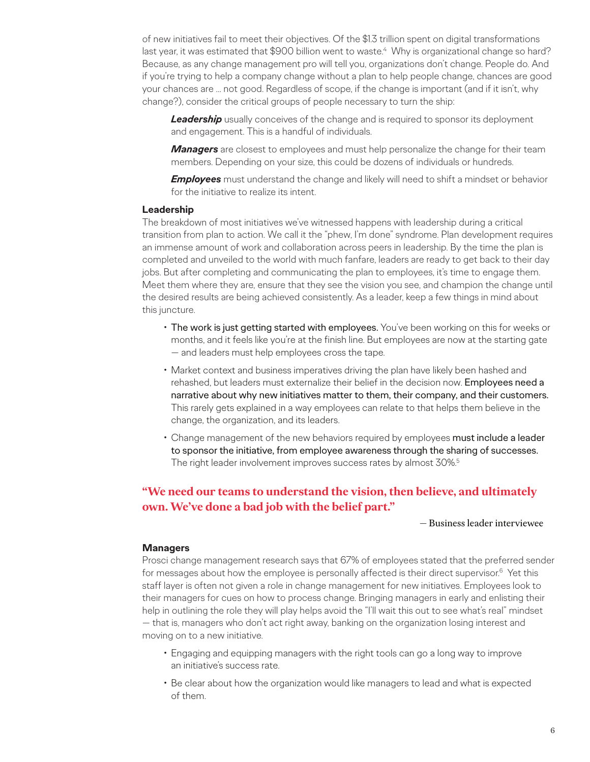of new initiatives fail to meet their objectives. Of the \$1.3 trillion spent on digital transformations last year, it was estimated that \$900 billion went to waste.<sup>4</sup> Why is organizational change so hard? Because, as any change management pro will tell you, organizations don't change. People do. And if you're trying to help a company change without a plan to help people change, chances are good your chances are ... not good. Regardless of scope, if the change is important (and if it isn't, why change?), consider the critical groups of people necessary to turn the ship:

**Leadership** usually conceives of the change and is required to sponsor its deployment and engagement. This is a handful of individuals.

*Managers* are closest to employees and must help personalize the change for their team members. Depending on your size, this could be dozens of individuals or hundreds.

*Employees* must understand the change and likely will need to shift a mindset or behavior for the initiative to realize its intent.

#### **Leadership**

The breakdown of most initiatives we've witnessed happens with leadership during a critical transition from plan to action. We call it the "phew, I'm done" syndrome. Plan development requires an immense amount of work and collaboration across peers in leadership. By the time the plan is completed and unveiled to the world with much fanfare, leaders are ready to get back to their day jobs. But after completing and communicating the plan to employees, it's time to engage them. Meet them where they are, ensure that they see the vision you see, and champion the change until the desired results are being achieved consistently. As a leader, keep a few things in mind about this juncture.

- The work is just getting started with employees. You've been working on this for weeks or months, and it feels like you're at the finish line. But employees are now at the starting gate — and leaders must help employees cross the tape.
- Market context and business imperatives driving the plan have likely been hashed and rehashed, but leaders must externalize their belief in the decision now. Employees need a narrative about why new initiatives matter to them, their company, and their customers. This rarely gets explained in a way employees can relate to that helps them believe in the change, the organization, and its leaders.
- Change management of the new behaviors required by employees must include a leader to sponsor the initiative, from employee awareness through the sharing of successes. The right leader involvement improves success rates by almost 30%.5

### **"We need our teams to understand the vision, then believe, and ultimately own. We've done a bad job with the belief part."**

#### — Business leader interviewee

#### **Managers**

Prosci change management research says that 67% of employees stated that the preferred sender for messages about how the employee is personally affected is their direct supervisor.<sup>6</sup> Yet this staff layer is often not given a role in change management for new initiatives. Employees look to their managers for cues on how to process change. Bringing managers in early and enlisting their help in outlining the role they will play helps avoid the "I'll wait this out to see what's real" mindset — that is, managers who don't act right away, banking on the organization losing interest and moving on to a new initiative.

- Engaging and equipping managers with the right tools can go a long way to improve an initiative's success rate.
- Be clear about how the organization would like managers to lead and what is expected of them.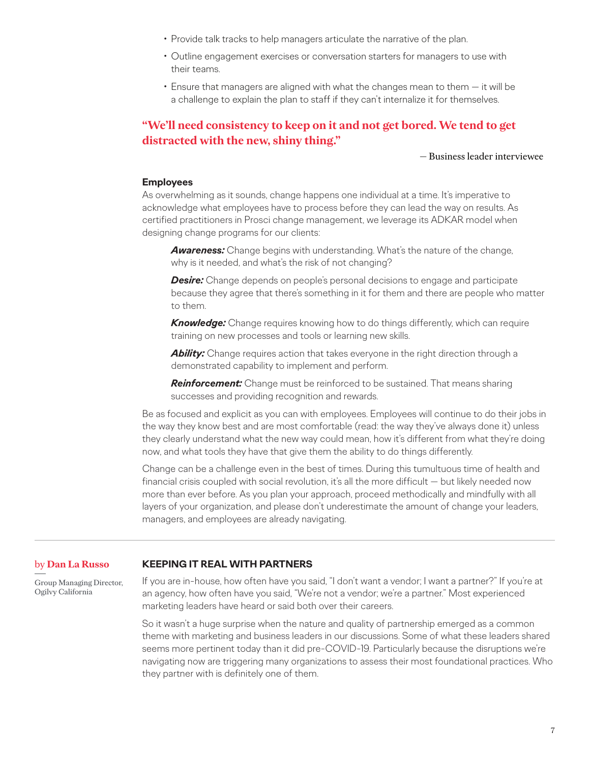- <span id="page-6-0"></span>• Provide talk tracks to help managers articulate the narrative of the plan.
- Outline engagement exercises or conversation starters for managers to use with their teams.
- Ensure that managers are aligned with what the changes mean to them it will be a challenge to explain the plan to staff if they can't internalize it for themselves.

### **"We'll need consistency to keep on it and not get bored. We tend to get distracted with the new, shiny thing."**

#### — Business leader interviewee

#### **Employees**

As overwhelming as it sounds, change happens one individual at a time. It's imperative to acknowledge what employees have to process before they can lead the way on results. As certified practitioners in Prosci change management, we leverage its ADKAR model when designing change programs for our clients:

*Awareness:* Change begins with understanding. What's the nature of the change, why is it needed, and what's the risk of not changing?

**Desire:** Change depends on people's personal decisions to engage and participate because they agree that there's something in it for them and there are people who matter to them.

*Knowledge:* Change requires knowing how to do things differently, which can require training on new processes and tools or learning new skills.

*Ability:* Change requires action that takes everyone in the right direction through a demonstrated capability to implement and perform.

*Reinforcement:* Change must be reinforced to be sustained. That means sharing successes and providing recognition and rewards.

Be as focused and explicit as you can with employees. Employees will continue to do their jobs in the way they know best and are most comfortable (read: the way they've always done it) unless they clearly understand what the new way could mean, how it's different from what they're doing now, and what tools they have that give them the ability to do things differently.

Change can be a challenge even in the best of times. During this tumultuous time of health and financial crisis coupled with social revolution, it's all the more difficult - but likely needed now more than ever before. As you plan your approach, proceed methodically and mindfully with all layers of your organization, and please don't underestimate the amount of change your leaders, managers, and employees are already navigating.

#### by **Dan La Russo KEEPING IT REAL WITH PARTNERS**

Group Managing Director, Ogilvy California

If you are in-house, how often have you said, "I don't want a vendor; I want a partner?" If you're at an agency, how often have you said, "We're not a vendor; we're a partner." Most experienced marketing leaders have heard or said both over their careers.

So it wasn't a huge surprise when the nature and quality of partnership emerged as a common theme with marketing and business leaders in our discussions. Some of what these leaders shared seems more pertinent today than it did pre-COVID-19. Particularly because the disruptions we're navigating now are triggering many organizations to assess their most foundational practices. Who they partner with is definitely one of them.